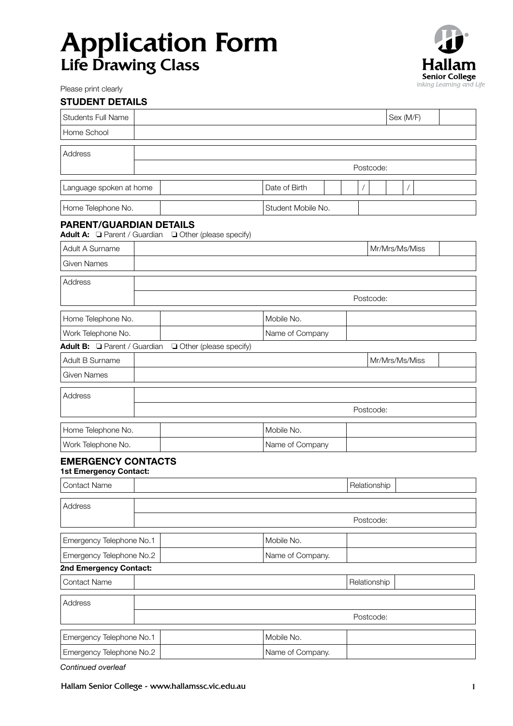# Application Form Life Drawing Class



Please print clearly

| <b>STUDENT DETAILS</b>                                                                |                    |                  |                |  |                |  |  |
|---------------------------------------------------------------------------------------|--------------------|------------------|----------------|--|----------------|--|--|
| <b>Students Full Name</b>                                                             |                    |                  |                |  | Sex (M/F)      |  |  |
| Home School                                                                           |                    |                  |                |  |                |  |  |
| Address                                                                               |                    |                  |                |  |                |  |  |
|                                                                                       |                    |                  | Postcode:      |  |                |  |  |
|                                                                                       |                    |                  |                |  |                |  |  |
| Language spoken at home                                                               |                    | Date of Birth    | $\overline{1}$ |  | $\overline{1}$ |  |  |
| Home Telephone No.                                                                    | Student Mobile No. |                  |                |  |                |  |  |
| <b>PARENT/GUARDIAN DETAILS</b><br>Adult A: Parent / Guardian D Other (please specify) |                    |                  |                |  |                |  |  |
| Adult A Surname                                                                       | Mr/Mrs/Ms/Miss     |                  |                |  |                |  |  |
| <b>Given Names</b>                                                                    |                    |                  |                |  |                |  |  |
| Address                                                                               |                    |                  |                |  |                |  |  |
|                                                                                       | Postcode:          |                  |                |  |                |  |  |
| Home Telephone No.                                                                    |                    | Mobile No.       |                |  |                |  |  |
| Work Telephone No.                                                                    |                    | Name of Company  |                |  |                |  |  |
| Adult B: Parent / Guardian D Other (please specify)                                   |                    |                  |                |  |                |  |  |
| Adult B Surname                                                                       | Mr/Mrs/Ms/Miss     |                  |                |  |                |  |  |
| <b>Given Names</b>                                                                    |                    |                  |                |  |                |  |  |
| Address                                                                               |                    |                  |                |  |                |  |  |
|                                                                                       |                    |                  | Postcode:      |  |                |  |  |
| Home Telephone No.                                                                    |                    | Mobile No.       |                |  |                |  |  |
| Work Telephone No.                                                                    | Name of Company    |                  |                |  |                |  |  |
| <b>EMERGENCY CONTACTS</b>                                                             |                    |                  |                |  |                |  |  |
| <b>1st Emergency Contact:</b>                                                         |                    |                  |                |  |                |  |  |
| Contact Name                                                                          |                    |                  | Relationship   |  |                |  |  |
| Address                                                                               |                    |                  |                |  |                |  |  |
|                                                                                       |                    |                  | Postcode:      |  |                |  |  |
|                                                                                       |                    |                  |                |  |                |  |  |
| Emergency Telephone No.1                                                              |                    | Mobile No.       |                |  |                |  |  |
| Emergency Telephone No.2<br>2nd Emergency Contact:                                    |                    | Name of Company. |                |  |                |  |  |
| Contact Name                                                                          |                    |                  | Relationship   |  |                |  |  |
|                                                                                       |                    |                  |                |  |                |  |  |
| Address                                                                               |                    |                  | Postcode:      |  |                |  |  |
|                                                                                       |                    |                  |                |  |                |  |  |
| Emergency Telephone No.1                                                              |                    | Mobile No.       |                |  |                |  |  |
| Emergency Telephone No.2                                                              |                    | Name of Company. |                |  |                |  |  |

*Continued overleaf*